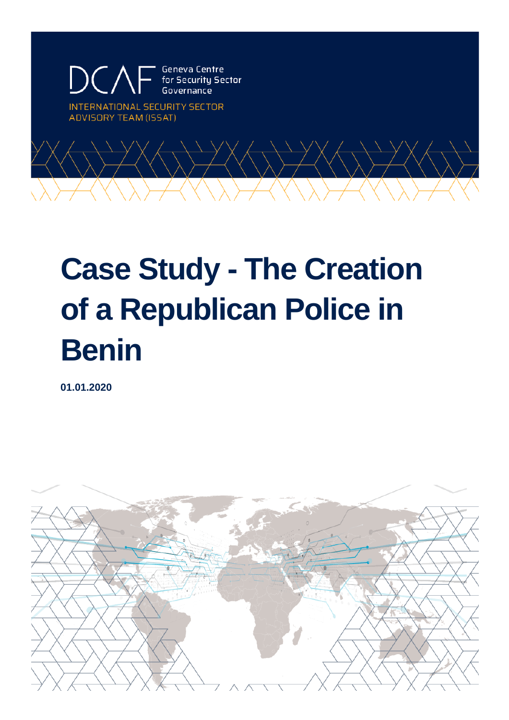Geneva Centre ecurity Sector

INTERNATIONAL SECURITY SECTOR **ADVISORY TEAM (ISSAT)** 



# **Case Study - The Creation of a Republican Police in Benin**

**01.01.2020**

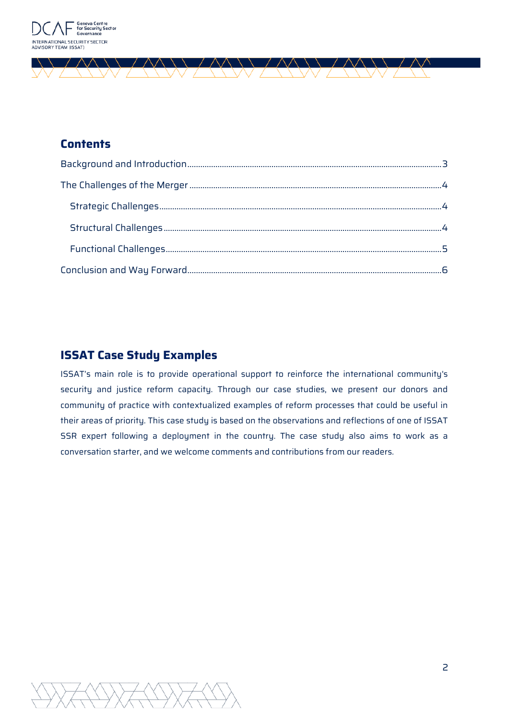

# **Contents**

 $\wedge\wedge$ 

 $\wedge\wedge$ 

\\ *\ \ \* \\

 $\wedge\wedge$ 

## **ISSAT Case Study Examples**

ISSAT's main role is to provide operational support to reinforce the international community's security and justice reform capacity. Through our case studies, we present our donors and community of practice with contextualized examples of reform processes that could be useful in their areas of priority. This case study is based on the observations and reflections of one of ISSAT SSR expert following a deployment in the country. The case study also aims to work as a conversation starter, and we welcome comments and contributions from our readers.

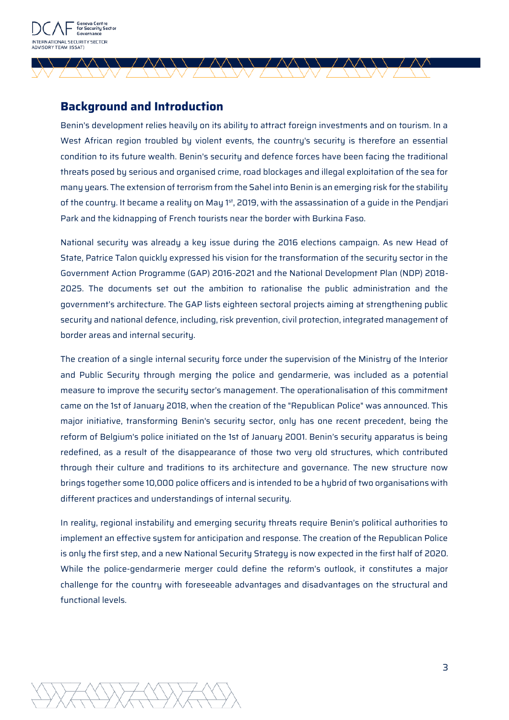

## <span id="page-2-0"></span>**Background and Introduction**

 $\wedge\wedge$ 

Benin's development relies heavily on its ability to attract foreign investments and on tourism. In a West African region troubled by violent events, the country's security is therefore an essential condition to its future wealth. Benin's security and defence forces have been facing the traditional threats posed by serious and organised crime, road blockages and illegal exploitation of the sea for many years. The extension of terrorism from the Sahel into Benin is an emerging risk for the stability of the country. It became a reality on May  $1<sup>st</sup>$ , 2019, with the assassination of a quide in the Pendjari Park and the kidnapping of French tourists near the border with Burkina Faso.

National security was already a key issue during the 2016 elections campaign. As new Head of State, Patrice Talon quickly expressed his vision for the transformation of the security sector in the Government Action Programme (GAP) 2016-2021 and the National Development Plan (NDP) 2018- 2025. The documents set out the ambition to rationalise the public administration and the government's architecture. The GAP lists eighteen sectoral projects aiming at strengthening public security and national defence, including, risk prevention, civil protection, integrated management of border areas and internal security.

The creation of a single internal security force under the supervision of the Ministry of the Interior and Public Security through merging the police and gendarmerie, was included as a potential measure to improve the security sector's management. The operationalisation of this commitment came on the 1st of January 2018, when the creation of the "Republican Police" was announced. This major initiative, transforming Benin's security sector, only has one recent precedent, being the reform of Belgium's police initiated on the 1st of January 2001. Benin's security apparatus is being redefined, as a result of the disappearance of those two very old structures, which contributed through their culture and traditions to its architecture and governance. The new structure now brings together some 10,000 police officers and is intended to be a hybrid of two organisations with different practices and understandings of internal security.

In reality, regional instability and emerging security threats require Benin's political authorities to implement an effective system for anticipation and response. The creation of the Republican Police is only the first step, and a new National Security Strategy is now expected in the first half of 2020. While the police-gendarmerie merger could define the reform's outlook, it constitutes a major challenge for the country with foreseeable advantages and disadvantages on the structural and functional levels.

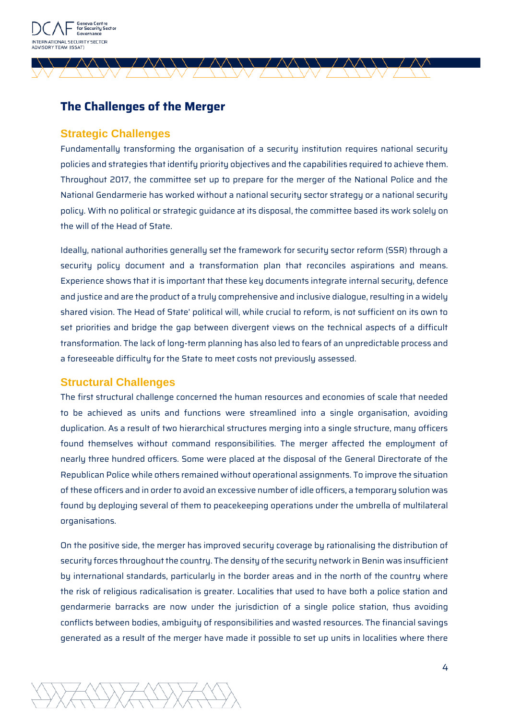

# <span id="page-3-0"></span>**The Challenges of the Merger**

#### <span id="page-3-1"></span>**Strategic Challenges**

Fundamentally transforming the organisation of a security institution requires national security policies and strategies that identify priority objectives and the capabilities required to achieve them. Throughout 2017, the committee set up to prepare for the merger of the National Police and the National Gendarmerie has worked without a national security sector strategy or a national security policy. With no political or strategic guidance at its disposal, the committee based its work solely on the will of the Head of State.

Ideally, national authorities generally set the framework for security sector reform (SSR) through a security policy document and a transformation plan that reconciles aspirations and means. Experience shows that it is important that these key documents integrate internal security, defence and justice and are the product of a truly comprehensive and inclusive dialogue, resulting in a widely shared vision. The Head of State' political will, while crucial to reform, is not sufficient on its own to set priorities and bridge the gap between divergent views on the technical aspects of a difficult transformation. The lack of long-term planning has also led to fears of an unpredictable process and a foreseeable difficulty for the State to meet costs not previously assessed.

#### <span id="page-3-2"></span>**Structural Challenges**

The first structural challenge concerned the human resources and economies of scale that needed to be achieved as units and functions were streamlined into a single organisation, avoiding duplication. As a result of two hierarchical structures merging into a single structure, many officers found themselves without command responsibilities. The merger affected the employment of nearly three hundred officers. Some were placed at the disposal of the General Directorate of the Republican Police while others remained without operational assignments. To improve the situation of these officers and in order to avoid an excessive number of idle officers, a temporary solution was found by deploying several of them to peacekeeping operations under the umbrella of multilateral organisations.

On the positive side, the merger has improved security coverage by rationalising the distribution of security forces throughout the country. The density of the security network in Benin was insufficient bu international standards, particularly in the border areas and in the north of the country where the risk of religious radicalisation is greater. Localities that used to have both a police station and gendarmerie barracks are now under the jurisdiction of a single police station, thus avoiding conflicts between bodies, ambiguity of responsibilities and wasted resources. The financial savings generated as a result of the merger have made it possible to set up units in localities where there

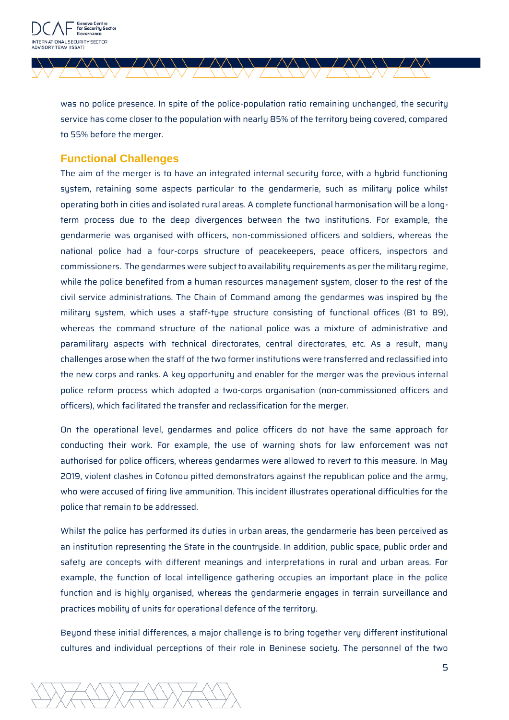

was no police presence. In spite of the police-population ratio remaining unchanged, the security service has come closer to the population with nearly 85% of the territory being covered, compared to 55% before the merger.

 $\wedge$ 

### <span id="page-4-0"></span>**Functional Challenges**

 $\wedge\wedge$ 

The aim of the merger is to have an integrated internal security force, with a hybrid functioning system, retaining some aspects particular to the gendarmerie, such as military police whilst operating both in cities and isolated rural areas. A complete functional harmonisation will be a longterm process due to the deep divergences between the two institutions. For example, the gendarmerie was organised with officers, non-commissioned officers and soldiers, whereas the national police had a four-corps structure of peacekeepers, peace officers, inspectors and commissioners. The gendarmes were subject to availability requirements as per the military regime, while the police benefited from a human resources management system, closer to the rest of the civil service administrations. The Chain of Command among the gendarmes was inspired by the military system, which uses a staff-type structure consisting of functional offices (B1 to B9), whereas the command structure of the national police was a mixture of administrative and paramilitary aspects with technical directorates, central directorates, etc. As a result, many challenges arose when the staff of the two former institutions were transferred and reclassified into the new corps and ranks. A key opportunity and enabler for the merger was the previous internal police reform process which adopted a two-corps organisation (non-commissioned officers and officers), which facilitated the transfer and reclassification for the merger.

On the operational level, gendarmes and police officers do not have the same approach for conducting their work. For example, the use of warning shots for law enforcement was not authorised for police officers, whereas gendarmes were allowed to revert to this measure. In May 2019, violent clashes in Cotonou pitted demonstrators against the republican police and the army, who were accused of firing live ammunition. This incident illustrates operational difficulties for the police that remain to be addressed.

Whilst the police has performed its duties in urban areas, the gendarmerie has been perceived as an institution representing the State in the countryside. In addition, public space, public order and safety are concepts with different meanings and interpretations in rural and urban areas. For example, the function of local intelligence gathering occupies an important place in the police function and is highly organised, whereas the gendarmerie engages in terrain surveillance and practices mobility of units for operational defence of the territory.

Beyond these initial differences, a major challenge is to bring together very different institutional cultures and individual perceptions of their role in Beninese society. The personnel of the two